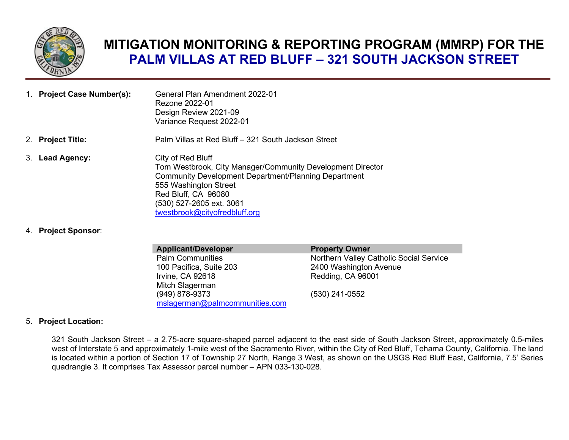

## **MITIGATION MONITORING & REPORTING PROGRAM (MMRP) FOR THE PALM VILLAS AT RED BLUFF – 321 SOUTH JACKSON STREET**

| 1. Project Case Number(s): | General Plan Amendment 2022-01<br>Rezone 2022-01<br>Design Review 2021-09<br>Variance Request 2022-01                                                                                   |
|----------------------------|-----------------------------------------------------------------------------------------------------------------------------------------------------------------------------------------|
| 2. Project Title:          | Palm Villas at Red Bluff – 321 South Jackson Street                                                                                                                                     |
| 3. Lead Agency:            | City of Red Bluff<br>Tom Westbrook, City Manager/Community Development Director<br>Community Development Department/Planning Department<br>555 Washington Street<br>Red Bluff, CA 96080 |

(530) 527-2605 ext. 3061 [twestbrook@cityofredbluff.org](mailto:twestbrook@cityofredbluff.org)

4. **Project Sponsor**:

| <b>Property Owner</b>                   |
|-----------------------------------------|
| Northern Valley Catholic Social Service |
| 2400 Washington Avenue                  |
| Redding, CA 96001                       |
|                                         |
| (530) 241-0552                          |
|                                         |
|                                         |

## 5. **Project Location:**

321 South Jackson Street – a 2.75-acre square-shaped parcel adjacent to the east side of South Jackson Street, approximately 0.5-miles west of Interstate 5 and approximately 1-mile west of the Sacramento River, within the City of Red Bluff, Tehama County, California. The land is located within a portion of Section 17 of Township 27 North, Range 3 West, as shown on the USGS Red Bluff East, California, 7.5' Series quadrangle 3. It comprises Tax Assessor parcel number – APN 033-130-028.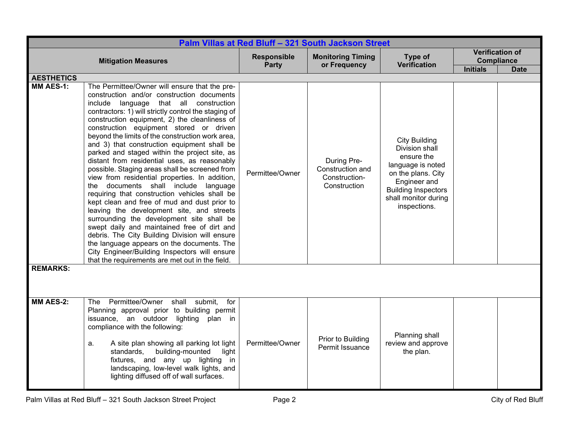|                   | Palm Villas at Red Bluff - 321 South Jackson Street                                                                                                                                                                                                                                                                                                                                                                                                                                                                                                                                                                                                                                                                                                                                                                                                                                                                                                                                                                                                                                     |                                    |                                                                  |                                                                                                                                                                                       |                 |                                                     |  |
|-------------------|-----------------------------------------------------------------------------------------------------------------------------------------------------------------------------------------------------------------------------------------------------------------------------------------------------------------------------------------------------------------------------------------------------------------------------------------------------------------------------------------------------------------------------------------------------------------------------------------------------------------------------------------------------------------------------------------------------------------------------------------------------------------------------------------------------------------------------------------------------------------------------------------------------------------------------------------------------------------------------------------------------------------------------------------------------------------------------------------|------------------------------------|------------------------------------------------------------------|---------------------------------------------------------------------------------------------------------------------------------------------------------------------------------------|-----------------|-----------------------------------------------------|--|
|                   | <b>Mitigation Measures</b>                                                                                                                                                                                                                                                                                                                                                                                                                                                                                                                                                                                                                                                                                                                                                                                                                                                                                                                                                                                                                                                              | <b>Responsible</b><br><b>Party</b> | <b>Monitoring Timing</b><br>or Frequency                         | Type of<br><b>Verification</b>                                                                                                                                                        | <b>Initials</b> | <b>Verification of</b><br>Compliance<br><b>Date</b> |  |
| <b>AESTHETICS</b> |                                                                                                                                                                                                                                                                                                                                                                                                                                                                                                                                                                                                                                                                                                                                                                                                                                                                                                                                                                                                                                                                                         |                                    |                                                                  |                                                                                                                                                                                       |                 |                                                     |  |
| <b>MM AES-1:</b>  | The Permittee/Owner will ensure that the pre-<br>construction and/or construction documents<br>include language that all construction<br>contractors: 1) will strictly control the staging of<br>construction equipment, 2) the cleanliness of<br>construction equipment stored or driven<br>beyond the limits of the construction work area,<br>and 3) that construction equipment shall be<br>parked and staged within the project site, as<br>distant from residential uses, as reasonably<br>possible. Staging areas shall be screened from<br>view from residential properties. In addition,<br>the documents shall include language<br>requiring that construction vehicles shall be<br>kept clean and free of mud and dust prior to<br>leaving the development site, and streets<br>surrounding the development site shall be<br>swept daily and maintained free of dirt and<br>debris. The City Building Division will ensure<br>the language appears on the documents. The<br>City Engineer/Building Inspectors will ensure<br>that the requirements are met out in the field. | Permittee/Owner                    | During Pre-<br>Construction and<br>Construction-<br>Construction | <b>City Building</b><br>Division shall<br>ensure the<br>language is noted<br>on the plans. City<br>Engineer and<br><b>Building Inspectors</b><br>shall monitor during<br>inspections. |                 |                                                     |  |
| <b>REMARKS:</b>   |                                                                                                                                                                                                                                                                                                                                                                                                                                                                                                                                                                                                                                                                                                                                                                                                                                                                                                                                                                                                                                                                                         |                                    |                                                                  |                                                                                                                                                                                       |                 |                                                     |  |
| <b>MM AES-2:</b>  | Permittee/Owner<br>shall submit,<br>for<br>The<br>Planning approval prior to building permit<br>issuance, an outdoor lighting<br>plan in<br>compliance with the following:<br>A site plan showing all parking lot light<br>a.<br>building-mounted<br>standards,<br>light<br>fixtures, and any up lighting in<br>landscaping, low-level walk lights, and<br>lighting diffused off of wall surfaces.                                                                                                                                                                                                                                                                                                                                                                                                                                                                                                                                                                                                                                                                                      | Permittee/Owner                    | Prior to Building<br>Permit Issuance                             | Planning shall<br>review and approve<br>the plan.                                                                                                                                     |                 |                                                     |  |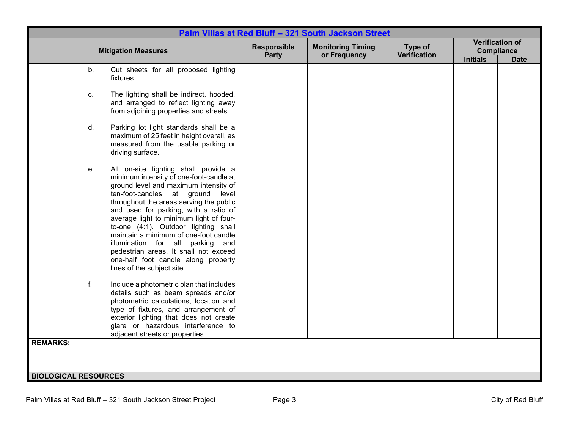|                                                                                                                                                                                                                                                                                                                                                                                                                                                                                                                                      |                      | Palm Villas at Red Bluff - 321 South Jackson Street |                                |                                      |                                       |
|--------------------------------------------------------------------------------------------------------------------------------------------------------------------------------------------------------------------------------------------------------------------------------------------------------------------------------------------------------------------------------------------------------------------------------------------------------------------------------------------------------------------------------------|----------------------|-----------------------------------------------------|--------------------------------|--------------------------------------|---------------------------------------|
| <b>Mitigation Measures</b>                                                                                                                                                                                                                                                                                                                                                                                                                                                                                                           | Responsible<br>Party | <b>Monitoring Timing</b><br>or Frequency            | Type of<br><b>Verification</b> | <b>Compliance</b><br><b>Initials</b> | <b>Verification of</b><br><b>Date</b> |
| Cut sheets for all proposed lighting<br>b.<br>fixtures.                                                                                                                                                                                                                                                                                                                                                                                                                                                                              |                      |                                                     |                                |                                      |                                       |
| The lighting shall be indirect, hooded,<br>C.<br>and arranged to reflect lighting away<br>from adjoining properties and streets.                                                                                                                                                                                                                                                                                                                                                                                                     |                      |                                                     |                                |                                      |                                       |
| d.<br>Parking lot light standards shall be a<br>maximum of 25 feet in height overall, as<br>measured from the usable parking or<br>driving surface.                                                                                                                                                                                                                                                                                                                                                                                  |                      |                                                     |                                |                                      |                                       |
| All on-site lighting shall provide a<br>е.<br>minimum intensity of one-foot-candle at<br>ground level and maximum intensity of<br>ten-foot-candles at ground level<br>throughout the areas serving the public<br>and used for parking, with a ratio of<br>average light to minimum light of four-<br>to-one (4:1). Outdoor lighting shall<br>maintain a minimum of one-foot candle<br>illumination for all parking and<br>pedestrian areas. It shall not exceed<br>one-half foot candle along property<br>lines of the subject site. |                      |                                                     |                                |                                      |                                       |
| f.<br>Include a photometric plan that includes<br>details such as beam spreads and/or<br>photometric calculations, location and<br>type of fixtures, and arrangement of<br>exterior lighting that does not create<br>glare or hazardous interference to<br>adjacent streets or properties.                                                                                                                                                                                                                                           |                      |                                                     |                                |                                      |                                       |
| <b>REMARKS:</b>                                                                                                                                                                                                                                                                                                                                                                                                                                                                                                                      |                      |                                                     |                                |                                      |                                       |
| <b>BIOLOGICAL RESOURCES</b>                                                                                                                                                                                                                                                                                                                                                                                                                                                                                                          |                      |                                                     |                                |                                      |                                       |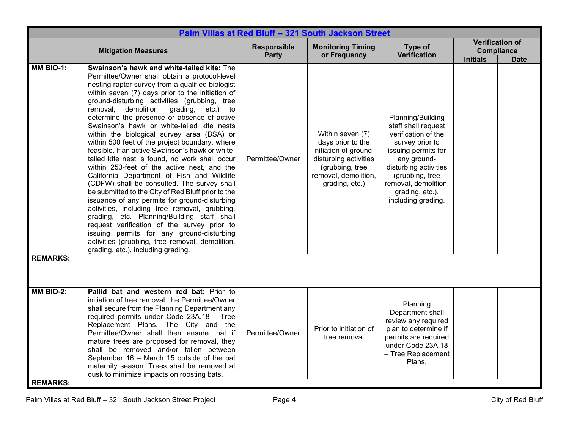|                                     | Palm Villas at Red Bluff - 321 South Jackson Street                                                                                                                                                                                                                                                                                                                                                                                                                                                                                                                                                                                                                                                                                                                                                                                                                                                                                                                                                                                                                                                                                         |                                    |                                                                                                                                                      |                                                                                                                                                                                                                                       |                 |                                                     |  |  |
|-------------------------------------|---------------------------------------------------------------------------------------------------------------------------------------------------------------------------------------------------------------------------------------------------------------------------------------------------------------------------------------------------------------------------------------------------------------------------------------------------------------------------------------------------------------------------------------------------------------------------------------------------------------------------------------------------------------------------------------------------------------------------------------------------------------------------------------------------------------------------------------------------------------------------------------------------------------------------------------------------------------------------------------------------------------------------------------------------------------------------------------------------------------------------------------------|------------------------------------|------------------------------------------------------------------------------------------------------------------------------------------------------|---------------------------------------------------------------------------------------------------------------------------------------------------------------------------------------------------------------------------------------|-----------------|-----------------------------------------------------|--|--|
|                                     | <b>Mitigation Measures</b>                                                                                                                                                                                                                                                                                                                                                                                                                                                                                                                                                                                                                                                                                                                                                                                                                                                                                                                                                                                                                                                                                                                  | <b>Responsible</b><br><b>Party</b> | <b>Monitoring Timing</b><br>or Frequency                                                                                                             | Type of<br><b>Verification</b>                                                                                                                                                                                                        | <b>Initials</b> | <b>Verification of</b><br>Compliance<br><b>Date</b> |  |  |
| MM BIO-1:<br><b>REMARKS:</b>        | Swainson's hawk and white-tailed kite: The<br>Permittee/Owner shall obtain a protocol-level<br>nesting raptor survey from a qualified biologist<br>within seven (7) days prior to the initiation of<br>ground-disturbing activities (grubbing, tree<br>removal, demolition, grading,<br>etc.) to<br>determine the presence or absence of active<br>Swainson's hawk or white-tailed kite nests<br>within the biological survey area (BSA) or<br>within 500 feet of the project boundary, where<br>feasible. If an active Swainson's hawk or white-<br>tailed kite nest is found, no work shall occur<br>within 250-feet of the active nest, and the<br>California Department of Fish and Wildlife<br>(CDFW) shall be consulted. The survey shall<br>be submitted to the City of Red Bluff prior to the<br>issuance of any permits for ground-disturbing<br>activities, including tree removal, grubbing,<br>grading, etc. Planning/Building staff shall<br>request verification of the survey prior to<br>issuing permits for any ground-disturbing<br>activities (grubbing, tree removal, demolition,<br>grading, etc.), including grading. | Permittee/Owner                    | Within seven (7)<br>days prior to the<br>initiation of ground-<br>disturbing activities<br>(grubbing, tree<br>removal, demolition,<br>grading, etc.) | Planning/Building<br>staff shall request<br>verification of the<br>survey prior to<br>issuing permits for<br>any ground-<br>disturbing activities<br>(grubbing, tree<br>removal, demolition,<br>grading, etc.),<br>including grading. |                 |                                                     |  |  |
|                                     |                                                                                                                                                                                                                                                                                                                                                                                                                                                                                                                                                                                                                                                                                                                                                                                                                                                                                                                                                                                                                                                                                                                                             |                                    |                                                                                                                                                      |                                                                                                                                                                                                                                       |                 |                                                     |  |  |
| <b>MM BIO-2:</b><br><b>REMARKS:</b> | Pallid bat and western red bat: Prior to<br>initiation of tree removal, the Permittee/Owner<br>shall secure from the Planning Department any<br>required permits under Code 23A.18 - Tree<br>Replacement Plans. The City and the<br>Permittee/Owner shall then ensure that if<br>mature trees are proposed for removal, they<br>shall be removed and/or fallen between<br>September 16 - March 15 outside of the bat<br>maternity season. Trees shall be removed at<br>dusk to minimize impacts on roosting bats.                                                                                                                                                                                                                                                                                                                                                                                                                                                                                                                                                                                                                           | Permittee/Owner                    | Prior to initiation of<br>tree removal                                                                                                               | Planning<br>Department shall<br>review any required<br>plan to determine if<br>permits are required<br>under Code 23A.18<br>- Tree Replacement<br>Plans.                                                                              |                 |                                                     |  |  |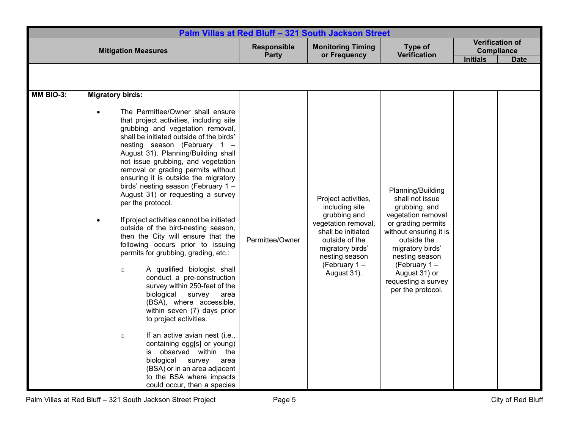| Palm Villas at Red Bluff - 321 South Jackson Street |                                                                                                                                                                                                                                                                                                                                                                                                                                                                                                                                                                                                                                                                                                                                                                                                                                                                                                                                                                                                                                                                                                                                                                                    |                      |                                                                                                                                                                                              |                                                                                                                                                                                                                                                               |                   |                        |
|-----------------------------------------------------|------------------------------------------------------------------------------------------------------------------------------------------------------------------------------------------------------------------------------------------------------------------------------------------------------------------------------------------------------------------------------------------------------------------------------------------------------------------------------------------------------------------------------------------------------------------------------------------------------------------------------------------------------------------------------------------------------------------------------------------------------------------------------------------------------------------------------------------------------------------------------------------------------------------------------------------------------------------------------------------------------------------------------------------------------------------------------------------------------------------------------------------------------------------------------------|----------------------|----------------------------------------------------------------------------------------------------------------------------------------------------------------------------------------------|---------------------------------------------------------------------------------------------------------------------------------------------------------------------------------------------------------------------------------------------------------------|-------------------|------------------------|
| <b>Mitigation Measures</b>                          |                                                                                                                                                                                                                                                                                                                                                                                                                                                                                                                                                                                                                                                                                                                                                                                                                                                                                                                                                                                                                                                                                                                                                                                    | Responsible<br>Party | <b>Monitoring Timing</b><br>or Frequency                                                                                                                                                     | Type of<br><b>Verification</b>                                                                                                                                                                                                                                | <b>Compliance</b> | <b>Verification of</b> |
|                                                     |                                                                                                                                                                                                                                                                                                                                                                                                                                                                                                                                                                                                                                                                                                                                                                                                                                                                                                                                                                                                                                                                                                                                                                                    |                      |                                                                                                                                                                                              |                                                                                                                                                                                                                                                               | <b>Initials</b>   | <b>Date</b>            |
|                                                     |                                                                                                                                                                                                                                                                                                                                                                                                                                                                                                                                                                                                                                                                                                                                                                                                                                                                                                                                                                                                                                                                                                                                                                                    |                      |                                                                                                                                                                                              |                                                                                                                                                                                                                                                               |                   |                        |
| MM BIO-3:                                           | <b>Migratory birds:</b><br>The Permittee/Owner shall ensure<br>$\bullet$<br>that project activities, including site<br>grubbing and vegetation removal,<br>shall be initiated outside of the birds'<br>nesting season (February 1 -<br>August 31). Planning/Building shall<br>not issue grubbing, and vegetation<br>removal or grading permits without<br>ensuring it is outside the migratory<br>birds' nesting season (February 1 -<br>August 31) or requesting a survey<br>per the protocol.<br>If project activities cannot be initiated<br>$\bullet$<br>outside of the bird-nesting season,<br>then the City will ensure that the<br>following occurs prior to issuing<br>permits for grubbing, grading, etc.:<br>A qualified biologist shall<br>$\circ$<br>conduct a pre-construction<br>survey within 250-feet of the<br>biological<br>survey<br>area<br>(BSA), where accessible,<br>within seven (7) days prior<br>to project activities.<br>If an active avian nest (i.e.,<br>$\circ$<br>containing egg[s] or young)<br>is observed within the<br>biological<br>survey<br>area<br>(BSA) or in an area adjacent<br>to the BSA where impacts<br>could occur, then a species | Permittee/Owner      | Project activities,<br>including site<br>grubbing and<br>vegetation removal,<br>shall be initiated<br>outside of the<br>migratory birds'<br>nesting season<br>(February $1 -$<br>August 31). | Planning/Building<br>shall not issue<br>grubbing, and<br>vegetation removal<br>or grading permits<br>without ensuring it is<br>outside the<br>migratory birds'<br>nesting season<br>(February 1-<br>August 31) or<br>requesting a survey<br>per the protocol. |                   |                        |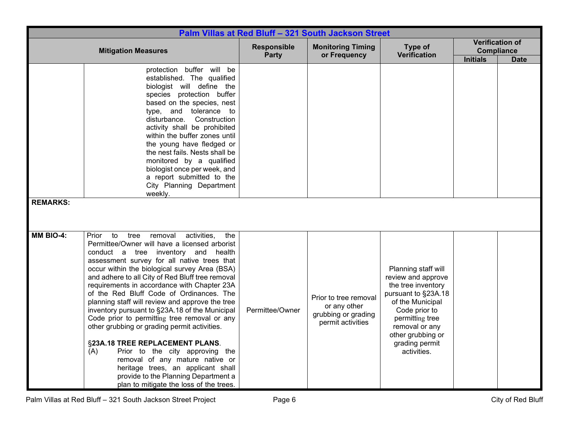|                 | Palm Villas at Red Bluff - 321 South Jackson Street                                                                                                                                                                                                                                                                                                                                                                                                                                                                                                                                                                                                                                                                                                                                                                                    |                 |                                                                                   |                                                                                                                                                                                                                        |                 |                                                            |  |
|-----------------|----------------------------------------------------------------------------------------------------------------------------------------------------------------------------------------------------------------------------------------------------------------------------------------------------------------------------------------------------------------------------------------------------------------------------------------------------------------------------------------------------------------------------------------------------------------------------------------------------------------------------------------------------------------------------------------------------------------------------------------------------------------------------------------------------------------------------------------|-----------------|-----------------------------------------------------------------------------------|------------------------------------------------------------------------------------------------------------------------------------------------------------------------------------------------------------------------|-----------------|------------------------------------------------------------|--|
|                 | <b>Mitigation Measures</b>                                                                                                                                                                                                                                                                                                                                                                                                                                                                                                                                                                                                                                                                                                                                                                                                             |                 | <b>Monitoring Timing</b><br>or Frequency                                          | Type of<br><b>Verification</b>                                                                                                                                                                                         | <b>Initials</b> | <b>Verification of</b><br><b>Compliance</b><br><b>Date</b> |  |
| <b>REMARKS:</b> | protection buffer will be<br>established. The qualified<br>biologist will define the<br>species protection buffer<br>based on the species, nest<br>type, and tolerance to<br>disturbance. Construction<br>activity shall be prohibited<br>within the buffer zones until<br>the young have fledged or<br>the nest fails. Nests shall be<br>monitored by a qualified<br>biologist once per week, and<br>a report submitted to the<br>City Planning Department<br>weekly.                                                                                                                                                                                                                                                                                                                                                                 |                 |                                                                                   |                                                                                                                                                                                                                        |                 |                                                            |  |
| MM BIO-4:       | Prior to<br>tree<br>removal<br>activities,<br>the<br>Permittee/Owner will have a licensed arborist<br>conduct a tree inventory and health<br>assessment survey for all native trees that<br>occur within the biological survey Area (BSA)<br>and adhere to all City of Red Bluff tree removal<br>requirements in accordance with Chapter 23A<br>of the Red Bluff Code of Ordinances. The<br>planning staff will review and approve the tree<br>inventory pursuant to §23A.18 of the Municipal<br>Code prior to permitting tree removal or any<br>other grubbing or grading permit activities.<br>§23A.18 TREE REPLACEMENT PLANS.<br>(A)<br>Prior to the city approving the<br>removal of any mature native or<br>heritage trees, an applicant shall<br>provide to the Planning Department a<br>plan to mitigate the loss of the trees. | Permittee/Owner | Prior to tree removal<br>or any other<br>grubbing or grading<br>permit activities | Planning staff will<br>review and approve<br>the tree inventory<br>pursuant to §23A.18<br>of the Municipal<br>Code prior to<br>permitting tree<br>removal or any<br>other grubbing or<br>grading permit<br>activities. |                 |                                                            |  |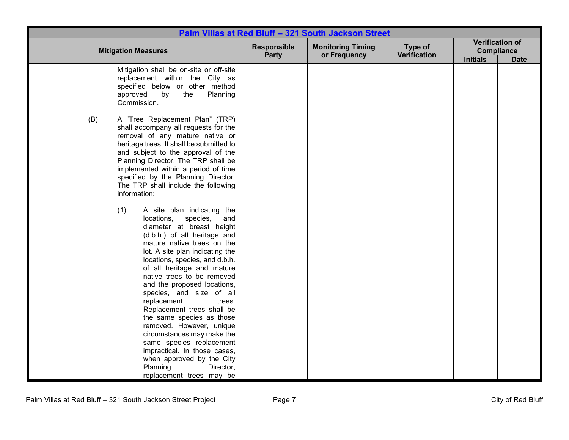|     |                                                                                                                                                                                                                                                                                                                                                                                                                                                                                                                                                                                                                                                       |                             | Palm Villas at Red Bluff - 321 South Jackson Street |                                |                   |                        |
|-----|-------------------------------------------------------------------------------------------------------------------------------------------------------------------------------------------------------------------------------------------------------------------------------------------------------------------------------------------------------------------------------------------------------------------------------------------------------------------------------------------------------------------------------------------------------------------------------------------------------------------------------------------------------|-----------------------------|-----------------------------------------------------|--------------------------------|-------------------|------------------------|
|     | <b>Mitigation Measures</b>                                                                                                                                                                                                                                                                                                                                                                                                                                                                                                                                                                                                                            | <b>Responsible</b><br>Party | <b>Monitoring Timing</b><br>or Frequency            | Type of<br><b>Verification</b> | <b>Compliance</b> | <b>Verification of</b> |
|     |                                                                                                                                                                                                                                                                                                                                                                                                                                                                                                                                                                                                                                                       |                             |                                                     |                                | <b>Initials</b>   | <b>Date</b>            |
|     | Mitigation shall be on-site or off-site<br>replacement within the City as<br>specified below or other method<br>Planning<br>approved<br>by<br>the<br>Commission.                                                                                                                                                                                                                                                                                                                                                                                                                                                                                      |                             |                                                     |                                |                   |                        |
| (B) | A "Tree Replacement Plan" (TRP)<br>shall accompany all requests for the<br>removal of any mature native or<br>heritage trees. It shall be submitted to<br>and subject to the approval of the<br>Planning Director. The TRP shall be<br>implemented within a period of time<br>specified by the Planning Director.<br>The TRP shall include the following<br>information:                                                                                                                                                                                                                                                                              |                             |                                                     |                                |                   |                        |
|     | (1)<br>A site plan indicating the<br>locations,<br>species,<br>and<br>diameter at breast height<br>(d.b.h.) of all heritage and<br>mature native trees on the<br>lot. A site plan indicating the<br>locations, species, and d.b.h.<br>of all heritage and mature<br>native trees to be removed<br>and the proposed locations,<br>species, and size of all<br>replacement<br>trees.<br>Replacement trees shall be<br>the same species as those<br>removed. However, unique<br>circumstances may make the<br>same species replacement<br>impractical. In those cases,<br>when approved by the City<br>Planning<br>Director,<br>replacement trees may be |                             |                                                     |                                |                   |                        |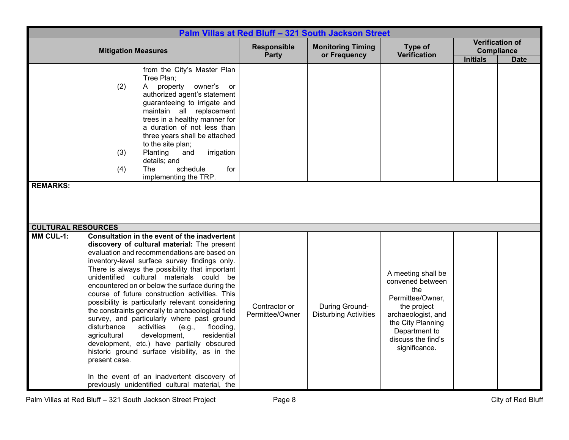|                                               | Palm Villas at Red Bluff - 321 South Jackson Street                                                                                                                                                                                                                                                                                                                                                                                                                                                                                                                                                                                                                                                                                                                                                                                                                      |                                  |                                                |                                                                                                                                                                                     |                 |                                                            |
|-----------------------------------------------|--------------------------------------------------------------------------------------------------------------------------------------------------------------------------------------------------------------------------------------------------------------------------------------------------------------------------------------------------------------------------------------------------------------------------------------------------------------------------------------------------------------------------------------------------------------------------------------------------------------------------------------------------------------------------------------------------------------------------------------------------------------------------------------------------------------------------------------------------------------------------|----------------------------------|------------------------------------------------|-------------------------------------------------------------------------------------------------------------------------------------------------------------------------------------|-----------------|------------------------------------------------------------|
|                                               | <b>Mitigation Measures</b>                                                                                                                                                                                                                                                                                                                                                                                                                                                                                                                                                                                                                                                                                                                                                                                                                                               | Responsible<br>Party             | <b>Monitoring Timing</b><br>or Frequency       | Type of<br><b>Verification</b>                                                                                                                                                      | <b>Initials</b> | <b>Verification of</b><br><b>Compliance</b><br><b>Date</b> |
| <b>REMARKS:</b>                               | from the City's Master Plan<br>Tree Plan;<br>(2)<br>property<br>owner's<br>A<br>or<br>authorized agent's statement<br>guaranteeing to irrigate and<br>maintain all replacement<br>trees in a healthy manner for<br>a duration of not less than<br>three years shall be attached<br>to the site plan;<br>Planting<br>and<br>irrigation<br>(3)<br>details; and<br>(4)<br><b>The</b><br>schedule<br>for<br>implementing the TRP.                                                                                                                                                                                                                                                                                                                                                                                                                                            |                                  |                                                |                                                                                                                                                                                     |                 |                                                            |
| <b>CULTURAL RESOURCES</b><br><b>MM CUL-1:</b> | Consultation in the event of the inadvertent<br>discovery of cultural material: The present<br>evaluation and recommendations are based on<br>inventory-level surface survey findings only.<br>There is always the possibility that important<br>unidentified cultural materials could be<br>encountered on or below the surface during the<br>course of future construction activities. This<br>possibility is particularly relevant considering<br>the constraints generally to archaeological field<br>survey, and particularly where past ground<br>disturbance<br>activities<br>(e.g.,<br>flooding,<br>agricultural<br>development,<br>residential<br>development, etc.) have partially obscured<br>historic ground surface visibility, as in the<br>present case.<br>In the event of an inadvertent discovery of<br>previously unidentified cultural material, the | Contractor or<br>Permittee/Owner | During Ground-<br><b>Disturbing Activities</b> | A meeting shall be<br>convened between<br>the<br>Permittee/Owner,<br>the project<br>archaeologist, and<br>the City Planning<br>Department to<br>discuss the find's<br>significance. |                 |                                                            |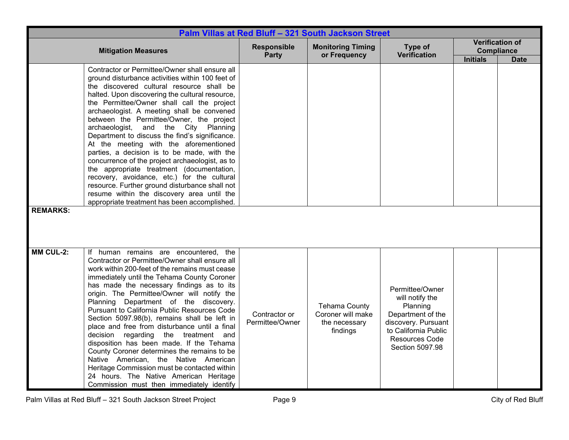|                  | Palm Villas at Red Bluff - 321 South Jackson Street                                                                                                                                                                                                                                                                                                                                                                                                                                                                                                                                                                                                                                                                                                                                                                          |                                    |                                                                        |                                                                                                                                                                |                                      |                                       |  |
|------------------|------------------------------------------------------------------------------------------------------------------------------------------------------------------------------------------------------------------------------------------------------------------------------------------------------------------------------------------------------------------------------------------------------------------------------------------------------------------------------------------------------------------------------------------------------------------------------------------------------------------------------------------------------------------------------------------------------------------------------------------------------------------------------------------------------------------------------|------------------------------------|------------------------------------------------------------------------|----------------------------------------------------------------------------------------------------------------------------------------------------------------|--------------------------------------|---------------------------------------|--|
|                  | <b>Mitigation Measures</b>                                                                                                                                                                                                                                                                                                                                                                                                                                                                                                                                                                                                                                                                                                                                                                                                   | <b>Responsible</b><br><b>Party</b> | <b>Monitoring Timing</b><br>or Frequency                               | Type of<br><b>Verification</b>                                                                                                                                 | <b>Compliance</b><br><b>Initials</b> | <b>Verification of</b><br><b>Date</b> |  |
| <b>REMARKS:</b>  | Contractor or Permittee/Owner shall ensure all<br>ground disturbance activities within 100 feet of<br>the discovered cultural resource shall be<br>halted. Upon discovering the cultural resource,<br>the Permittee/Owner shall call the project<br>archaeologist. A meeting shall be convened<br>between the Permittee/Owner, the project<br>archaeologist, and the City Planning<br>Department to discuss the find's significance.<br>At the meeting with the aforementioned<br>parties, a decision is to be made, with the<br>concurrence of the project archaeologist, as to<br>the appropriate treatment (documentation,<br>recovery, avoidance, etc.) for the cultural<br>resource. Further ground disturbance shall not<br>resume within the discovery area until the<br>appropriate treatment has been accomplished. |                                    |                                                                        |                                                                                                                                                                |                                      |                                       |  |
| <b>MM CUL-2:</b> | If human remains are encountered, the<br>Contractor or Permittee/Owner shall ensure all<br>work within 200-feet of the remains must cease<br>immediately until the Tehama County Coroner<br>has made the necessary findings as to its<br>origin. The Permittee/Owner will notify the<br>Planning Department of the discovery.<br>Pursuant to California Public Resources Code<br>Section 5097.98(b), remains shall be left in<br>place and free from disturbance until a final<br>decision regarding<br>the treatment and<br>disposition has been made. If the Tehama<br>County Coroner determines the remains to be<br>Native American, the Native American<br>Heritage Commission must be contacted within<br>24 hours. The Native American Heritage<br>Commission must then immediately identify                          | Contractor or<br>Permittee/Owner   | <b>Tehama County</b><br>Coroner will make<br>the necessary<br>findings | Permittee/Owner<br>will notify the<br>Planning<br>Department of the<br>discovery. Pursuant<br>to California Public<br><b>Resources Code</b><br>Section 5097.98 |                                      |                                       |  |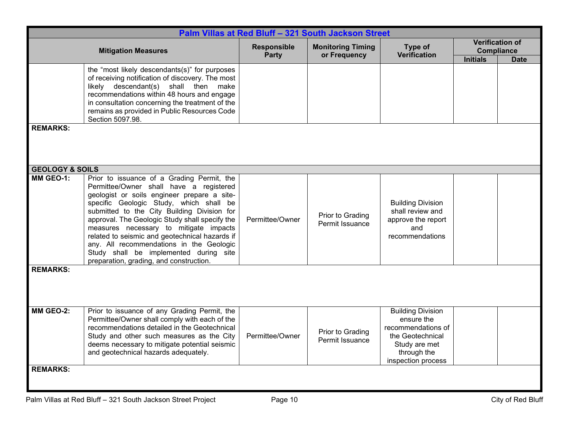|                            |                                                                                                                                                                                                                                                                                                                                                                                                                                                                                                               |                             | Palm Villas at Red Bluff - 321 South Jackson Street |                                                                                                                                        |                                      |                                       |
|----------------------------|---------------------------------------------------------------------------------------------------------------------------------------------------------------------------------------------------------------------------------------------------------------------------------------------------------------------------------------------------------------------------------------------------------------------------------------------------------------------------------------------------------------|-----------------------------|-----------------------------------------------------|----------------------------------------------------------------------------------------------------------------------------------------|--------------------------------------|---------------------------------------|
|                            | <b>Mitigation Measures</b>                                                                                                                                                                                                                                                                                                                                                                                                                                                                                    | <b>Responsible</b><br>Party | <b>Monitoring Timing</b><br>or Frequency            | Type of<br><b>Verification</b>                                                                                                         | <b>Compliance</b><br><b>Initials</b> | <b>Verification of</b><br><b>Date</b> |
|                            | the "most likely descendants(s)" for purposes<br>of receiving notification of discovery. The most<br>likely descendant(s) shall then make<br>recommendations within 48 hours and engage<br>in consultation concerning the treatment of the<br>remains as provided in Public Resources Code<br>Section 5097.98.                                                                                                                                                                                                |                             |                                                     |                                                                                                                                        |                                      |                                       |
| <b>REMARKS:</b>            |                                                                                                                                                                                                                                                                                                                                                                                                                                                                                                               |                             |                                                     |                                                                                                                                        |                                      |                                       |
| <b>GEOLOGY &amp; SOILS</b> |                                                                                                                                                                                                                                                                                                                                                                                                                                                                                                               |                             |                                                     |                                                                                                                                        |                                      |                                       |
| MM GEO-1:                  | Prior to issuance of a Grading Permit, the<br>Permittee/Owner shall have a registered<br>geologist or soils engineer prepare a site-<br>specific Geologic Study, which shall be<br>submitted to the City Building Division for<br>approval. The Geologic Study shall specify the<br>measures necessary to mitigate impacts<br>related to seismic and geotechnical hazards if<br>any. All recommendations in the Geologic<br>Study shall be implemented during site<br>preparation, grading, and construction. | Permittee/Owner             | Prior to Grading<br>Permit Issuance                 | <b>Building Division</b><br>shall review and<br>approve the report<br>and<br>recommendations                                           |                                      |                                       |
| <b>REMARKS:</b>            |                                                                                                                                                                                                                                                                                                                                                                                                                                                                                                               |                             |                                                     |                                                                                                                                        |                                      |                                       |
| MM GEO-2:                  | Prior to issuance of any Grading Permit, the<br>Permittee/Owner shall comply with each of the<br>recommendations detailed in the Geotechnical<br>Study and other such measures as the City<br>deems necessary to mitigate potential seismic<br>and geotechnical hazards adequately.                                                                                                                                                                                                                           | Permittee/Owner             | Prior to Grading<br>Permit Issuance                 | <b>Building Division</b><br>ensure the<br>recommendations of<br>the Geotechnical<br>Study are met<br>through the<br>inspection process |                                      |                                       |
| <b>REMARKS:</b>            |                                                                                                                                                                                                                                                                                                                                                                                                                                                                                                               |                             |                                                     |                                                                                                                                        |                                      |                                       |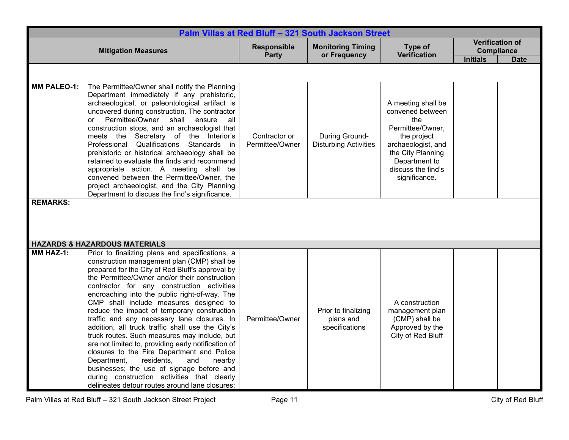|                                       | Palm Villas at Red Bluff - 321 South Jackson Street                                                                                                                                                                                                                                                                                                                                                                                                                                                                                                                                                                                                                                                                                                                                          |                                  |                                                    |                                                                                                                                                                                     |                 |                                                            |  |
|---------------------------------------|----------------------------------------------------------------------------------------------------------------------------------------------------------------------------------------------------------------------------------------------------------------------------------------------------------------------------------------------------------------------------------------------------------------------------------------------------------------------------------------------------------------------------------------------------------------------------------------------------------------------------------------------------------------------------------------------------------------------------------------------------------------------------------------------|----------------------------------|----------------------------------------------------|-------------------------------------------------------------------------------------------------------------------------------------------------------------------------------------|-----------------|------------------------------------------------------------|--|
|                                       | <b>Mitigation Measures</b>                                                                                                                                                                                                                                                                                                                                                                                                                                                                                                                                                                                                                                                                                                                                                                   | Responsible<br>Party             | <b>Monitoring Timing</b><br>or Frequency           | Type of<br><b>Verification</b>                                                                                                                                                      | <b>Initials</b> | <b>Verification of</b><br><b>Compliance</b><br><b>Date</b> |  |
|                                       |                                                                                                                                                                                                                                                                                                                                                                                                                                                                                                                                                                                                                                                                                                                                                                                              |                                  |                                                    |                                                                                                                                                                                     |                 |                                                            |  |
| <b>MM PALEO-1:</b><br><b>REMARKS:</b> | The Permittee/Owner shall notify the Planning<br>Department immediately if any prehistoric,<br>archaeological, or paleontological artifact is<br>uncovered during construction. The contractor<br>Permittee/Owner<br>shall<br>ensure<br>all<br><b>or</b><br>construction stops, and an archaeologist that<br>meets the Secretary of the Interior's<br>Professional Qualifications Standards<br>in in<br>prehistoric or historical archaeology shall be<br>retained to evaluate the finds and recommend<br>appropriate action. A meeting shall be<br>convened between the Permittee/Owner, the<br>project archaeologist, and the City Planning<br>Department to discuss the find's significance.                                                                                              | Contractor or<br>Permittee/Owner | During Ground-<br><b>Disturbing Activities</b>     | A meeting shall be<br>convened between<br>the<br>Permittee/Owner,<br>the project<br>archaeologist, and<br>the City Planning<br>Department to<br>discuss the find's<br>significance. |                 |                                                            |  |
|                                       | <b>HAZARDS &amp; HAZARDOUS MATERIALS</b>                                                                                                                                                                                                                                                                                                                                                                                                                                                                                                                                                                                                                                                                                                                                                     |                                  |                                                    |                                                                                                                                                                                     |                 |                                                            |  |
| MM HAZ-1:                             | Prior to finalizing plans and specifications, a                                                                                                                                                                                                                                                                                                                                                                                                                                                                                                                                                                                                                                                                                                                                              |                                  |                                                    |                                                                                                                                                                                     |                 |                                                            |  |
|                                       | construction management plan (CMP) shall be<br>prepared for the City of Red Bluff's approval by<br>the Permittee/Owner and/or their construction<br>contractor for any construction activities<br>encroaching into the public right-of-way. The<br>CMP shall include measures designed to<br>reduce the impact of temporary construction<br>traffic and any necessary lane closures. In<br>addition, all truck traffic shall use the City's<br>truck routes. Such measures may include, but<br>are not limited to, providing early notification of<br>closures to the Fire Department and Police<br>Department,<br>residents,<br>and<br>nearby<br>businesses; the use of signage before and<br>during construction activities that clearly<br>delineates detour routes around lane closures; | Permittee/Owner                  | Prior to finalizing<br>plans and<br>specifications | A construction<br>management plan<br>(CMP) shall be<br>Approved by the<br>City of Red Bluff                                                                                         |                 |                                                            |  |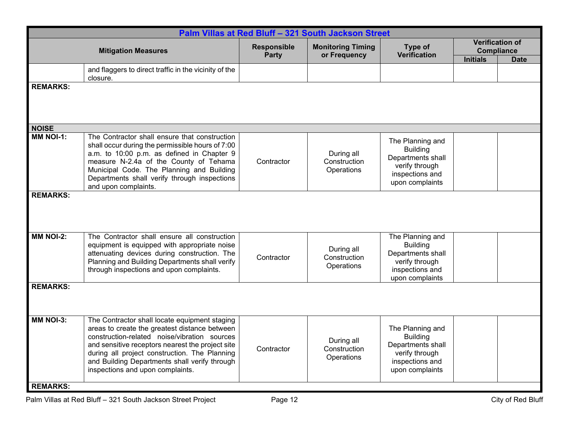| Palm Villas at Red Bluff - 321 South Jackson Street |                                                                                                                                                                                                                                                                                                                                          |                      |                                          |                                                                                                                  |                                                                               |  |  |
|-----------------------------------------------------|------------------------------------------------------------------------------------------------------------------------------------------------------------------------------------------------------------------------------------------------------------------------------------------------------------------------------------------|----------------------|------------------------------------------|------------------------------------------------------------------------------------------------------------------|-------------------------------------------------------------------------------|--|--|
| <b>Mitigation Measures</b>                          |                                                                                                                                                                                                                                                                                                                                          | Responsible<br>Party | <b>Monitoring Timing</b><br>or Frequency | Type of<br><b>Verification</b>                                                                                   | <b>Verification of</b><br><b>Compliance</b><br><b>Initials</b><br><b>Date</b> |  |  |
|                                                     | and flaggers to direct traffic in the vicinity of the<br>closure.                                                                                                                                                                                                                                                                        |                      |                                          |                                                                                                                  |                                                                               |  |  |
| <b>REMARKS:</b>                                     |                                                                                                                                                                                                                                                                                                                                          |                      |                                          |                                                                                                                  |                                                                               |  |  |
| <b>NOISE</b>                                        |                                                                                                                                                                                                                                                                                                                                          |                      |                                          |                                                                                                                  |                                                                               |  |  |
| MM NOI-1:                                           | The Contractor shall ensure that construction<br>shall occur during the permissible hours of 7:00<br>a.m. to 10:00 p.m. as defined in Chapter 9<br>measure N-2.4a of the County of Tehama<br>Municipal Code. The Planning and Building<br>Departments shall verify through inspections<br>and upon complaints.                           | Contractor           | During all<br>Construction<br>Operations | The Planning and<br><b>Building</b><br>Departments shall<br>verify through<br>inspections and<br>upon complaints |                                                                               |  |  |
| <b>REMARKS:</b>                                     |                                                                                                                                                                                                                                                                                                                                          |                      |                                          |                                                                                                                  |                                                                               |  |  |
| <b>MM NOI-2:</b>                                    | The Contractor shall ensure all construction<br>equipment is equipped with appropriate noise<br>attenuating devices during construction. The<br>Planning and Building Departments shall verify<br>through inspections and upon complaints.                                                                                               | Contractor           | During all<br>Construction<br>Operations | The Planning and<br><b>Building</b><br>Departments shall<br>verify through<br>inspections and<br>upon complaints |                                                                               |  |  |
| <b>REMARKS:</b>                                     |                                                                                                                                                                                                                                                                                                                                          |                      |                                          |                                                                                                                  |                                                                               |  |  |
| <b>MM NOI-3:</b><br><b>REMARKS:</b>                 | The Contractor shall locate equipment staging<br>areas to create the greatest distance between<br>construction-related noise/vibration sources<br>and sensitive receptors nearest the project site<br>during all project construction. The Planning<br>and Building Departments shall verify through<br>inspections and upon complaints. | Contractor           | During all<br>Construction<br>Operations | The Planning and<br><b>Building</b><br>Departments shall<br>verify through<br>inspections and<br>upon complaints |                                                                               |  |  |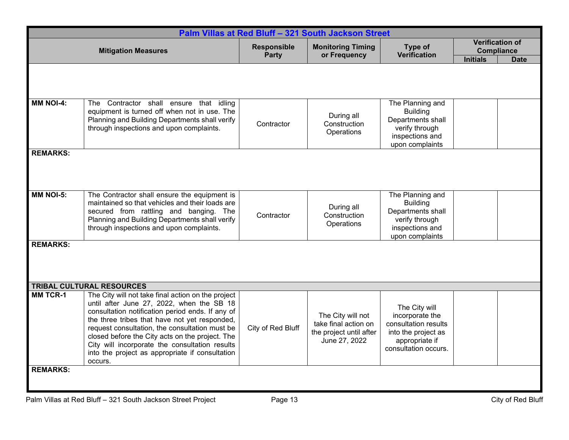| Palm Villas at Red Bluff - 321 South Jackson Street |                                                                                                                                                                                                                                                                                                                                                                                                                           |                             |                                                                                       |                                                                                                                           |                                                                        |  |  |
|-----------------------------------------------------|---------------------------------------------------------------------------------------------------------------------------------------------------------------------------------------------------------------------------------------------------------------------------------------------------------------------------------------------------------------------------------------------------------------------------|-----------------------------|---------------------------------------------------------------------------------------|---------------------------------------------------------------------------------------------------------------------------|------------------------------------------------------------------------|--|--|
| <b>Mitigation Measures</b>                          |                                                                                                                                                                                                                                                                                                                                                                                                                           | <b>Responsible</b><br>Party | <b>Monitoring Timing</b><br>or Frequency                                              | Type of<br><b>Verification</b>                                                                                            | Verification of<br><b>Compliance</b><br><b>Initials</b><br><b>Date</b> |  |  |
|                                                     |                                                                                                                                                                                                                                                                                                                                                                                                                           |                             |                                                                                       |                                                                                                                           |                                                                        |  |  |
| <b>MM NOI-4:</b>                                    | The Contractor shall ensure that idling<br>equipment is turned off when not in use. The<br>Planning and Building Departments shall verify<br>through inspections and upon complaints.                                                                                                                                                                                                                                     | Contractor                  | During all<br>Construction<br>Operations                                              | The Planning and<br><b>Building</b><br>Departments shall<br>verify through<br>inspections and<br>upon complaints          |                                                                        |  |  |
| <b>REMARKS:</b>                                     |                                                                                                                                                                                                                                                                                                                                                                                                                           |                             |                                                                                       |                                                                                                                           |                                                                        |  |  |
| <b>MM NOI-5:</b>                                    | The Contractor shall ensure the equipment is<br>maintained so that vehicles and their loads are<br>secured from rattling and banging. The<br>Planning and Building Departments shall verify<br>through inspections and upon complaints.                                                                                                                                                                                   | Contractor                  | During all<br>Construction<br>Operations                                              | The Planning and<br><b>Building</b><br>Departments shall<br>verify through<br>inspections and<br>upon complaints          |                                                                        |  |  |
| <b>REMARKS:</b>                                     |                                                                                                                                                                                                                                                                                                                                                                                                                           |                             |                                                                                       |                                                                                                                           |                                                                        |  |  |
|                                                     | <b>TRIBAL CULTURAL RESOURCES</b>                                                                                                                                                                                                                                                                                                                                                                                          |                             |                                                                                       |                                                                                                                           |                                                                        |  |  |
| <b>MM TCR-1</b>                                     | The City will not take final action on the project<br>until after June 27, 2022, when the SB 18<br>consultation notification period ends. If any of<br>the three tribes that have not yet responded,<br>request consultation, the consultation must be<br>closed before the City acts on the project. The<br>City will incorporate the consultation results<br>into the project as appropriate if consultation<br>occurs. | City of Red Bluff           | The City will not<br>take final action on<br>the project until after<br>June 27, 2022 | The City will<br>incorporate the<br>consultation results<br>into the project as<br>appropriate if<br>consultation occurs. |                                                                        |  |  |
| <b>REMARKS:</b>                                     |                                                                                                                                                                                                                                                                                                                                                                                                                           |                             |                                                                                       |                                                                                                                           |                                                                        |  |  |